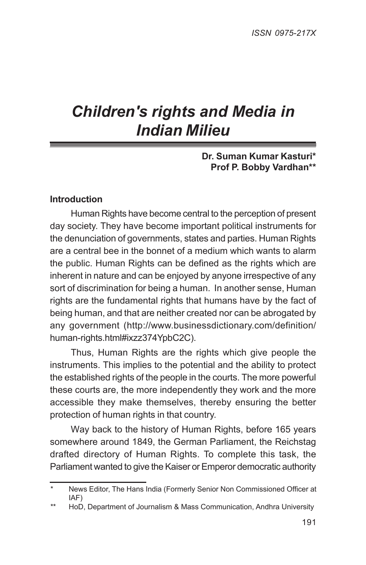# *Children's rights and Media in Indian Milieu*

### **Dr. Suman Kumar Kasturi\* Prof P. Bobby Vardhan\*\***

### **Introduction**

Human Rights have become central to the perception of present day society. They have become important political instruments for the denunciation of governments, states and parties. Human Rights are a central bee in the bonnet of a medium which wants to alarm the public. Human Rights can be defined as the rights which are inherent in nature and can be enjoyed by anyone irrespective of any sort of discrimination for being a human. In another sense, Human rights are the fundamental rights that humans have by the fact of being human, and that are neither created nor can be abrogated by any government (http://www.businessdictionary.com/definition/ human-rights.html#ixzz374YpbC2C).

Thus, Human Rights are the rights which give people the instruments. This implies to the potential and the ability to protect the established rights of the people in the courts. The more powerful these courts are, the more independently they work and the more accessible they make themselves, thereby ensuring the better protection of human rights in that country.

Way back to the history of Human Rights, before 165 years somewhere around 1849, the German Parliament, the Reichstag drafted directory of Human Rights. To complete this task, the Parliament wanted to give the Kaiser or Emperor democratic authority

<sup>\*</sup> News Editor, The Hans India (Formerly Senior Non Commissioned Officer at IAF)

<sup>\*\*</sup> HoD, Department of Journalism & Mass Communication, Andhra University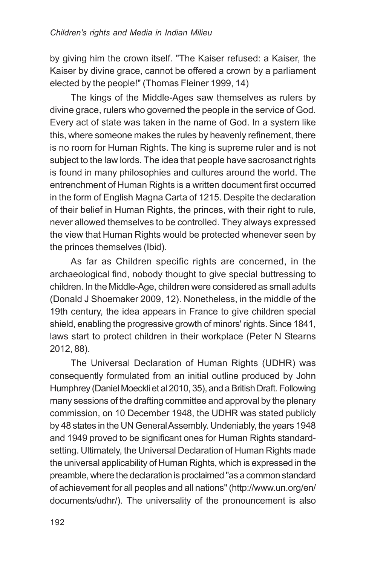by giving him the crown itself. "The Kaiser refused: a Kaiser, the Kaiser by divine grace, cannot be offered a crown by a parliament elected by the people!" (Thomas Fleiner 1999, 14)

The kings of the Middle-Ages saw themselves as rulers by divine grace, rulers who governed the people in the service of God. Every act of state was taken in the name of God. In a system like this, where someone makes the rules by heavenly refinement, there is no room for Human Rights. The king is supreme ruler and is not subject to the law lords. The idea that people have sacrosanct rights is found in many philosophies and cultures around the world. The entrenchment of Human Rights is a written document first occurred in the form of English Magna Carta of 1215. Despite the declaration of their belief in Human Rights, the princes, with their right to rule, never allowed themselves to be controlled. They always expressed the view that Human Rights would be protected whenever seen by the princes themselves (Ibid).

As far as Children specific rights are concerned, in the archaeological find, nobody thought to give special buttressing to children. In the Middle-Age, children were considered as small adults (Donald J Shoemaker 2009, 12). Nonetheless, in the middle of the 19th century, the idea appears in France to give children special shield, enabling the progressive growth of minors' rights. Since 1841, laws start to protect children in their workplace (Peter N Stearns 2012, 88).

The Universal Declaration of Human Rights (UDHR) was consequently formulated from an initial outline produced by John Humphrey (Daniel Moeckli et al 2010, 35), and a British Draft. Following many sessions of the drafting committee and approval by the plenary commission, on 10 December 1948, the UDHR was stated publicly by 48 states in the UN General Assembly. Undeniably, the years 1948 and 1949 proved to be significant ones for Human Rights standardsetting. Ultimately, the Universal Declaration of Human Rights made the universal applicability of Human Rights, which is expressed in the preamble, where the declaration is proclaimed "as a common standard of achievement for all peoples and all nations" (http://www.un.org/en/ documents/udhr/). The universality of the pronouncement is also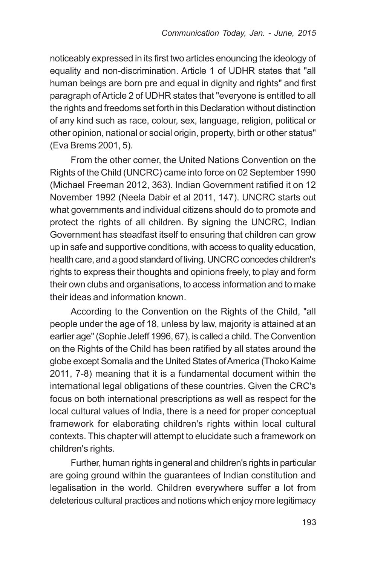noticeably expressed in its first two articles enouncing the ideology of equality and non-discrimination. Article 1 of UDHR states that "all human beings are born pre and equal in dignity and rights" and first paragraph of Article 2 of UDHR states that "everyone is entitled to all the rights and freedoms set forth in this Declaration without distinction of any kind such as race, colour, sex, language, religion, political or other opinion, national or social origin, property, birth or other status" (Eva Brems 2001, 5).

From the other corner, the United Nations Convention on the Rights of the Child (UNCRC) came into force on 02 September 1990 (Michael Freeman 2012, 363). Indian Government ratified it on 12 November 1992 (Neela Dabir et al 2011, 147). UNCRC starts out what governments and individual citizens should do to promote and protect the rights of all children. By signing the UNCRC, Indian Government has steadfast itself to ensuring that children can grow up in safe and supportive conditions, with access to quality education, health care, and a good standard of living. UNCRC concedes children's rights to express their thoughts and opinions freely, to play and form their own clubs and organisations, to access information and to make their ideas and information known.

According to the Convention on the Rights of the Child, "all people under the age of 18, unless by law, majority is attained at an earlier age" (Sophie Jeleff 1996, 67), is called a child. The Convention on the Rights of the Child has been ratified by all states around the globe except Somalia and the United States of America (Thoko Kaime 2011, 7-8) meaning that it is a fundamental document within the international legal obligations of these countries. Given the CRC's focus on both international prescriptions as well as respect for the local cultural values of India, there is a need for proper conceptual framework for elaborating children's rights within local cultural contexts. This chapter will attempt to elucidate such a framework on children's rights.

Further, human rights in general and children's rights in particular are going ground within the guarantees of Indian constitution and legalisation in the world. Children everywhere suffer a lot from deleterious cultural practices and notions which enjoy more legitimacy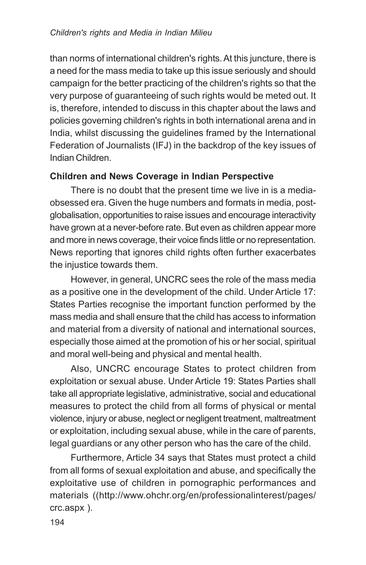than norms of international children's rights. At this juncture, there is a need for the mass media to take up this issue seriously and should campaign for the better practicing of the children's rights so that the very purpose of guaranteeing of such rights would be meted out. It is, therefore, intended to discuss in this chapter about the laws and policies governing children's rights in both international arena and in India, whilst discussing the guidelines framed by the International Federation of Journalists (IFJ) in the backdrop of the key issues of Indian Children.

# **Children and News Coverage in Indian Perspective**

There is no doubt that the present time we live in is a mediaobsessed era. Given the huge numbers and formats in media, postglobalisation, opportunities to raise issues and encourage interactivity have grown at a never-before rate. But even as children appear more and more in news coverage, their voice finds little or no representation. News reporting that ignores child rights often further exacerbates the injustice towards them.

However, in general, UNCRC sees the role of the mass media as a positive one in the development of the child. Under Article 17: States Parties recognise the important function performed by the mass media and shall ensure that the child has access to information and material from a diversity of national and international sources, especially those aimed at the promotion of his or her social, spiritual and moral well-being and physical and mental health.

Also, UNCRC encourage States to protect children from exploitation or sexual abuse. Under Article 19: States Parties shall take all appropriate legislative, administrative, social and educational measures to protect the child from all forms of physical or mental violence, injury or abuse, neglect or negligent treatment, maltreatment or exploitation, including sexual abuse, while in the care of parents, legal guardians or any other person who has the care of the child.

Furthermore, Article 34 says that States must protect a child from all forms of sexual exploitation and abuse, and specifically the exploitative use of children in pornographic performances and materials ((http://www.ohchr.org/en/professionalinterest/pages/ crc.aspx ).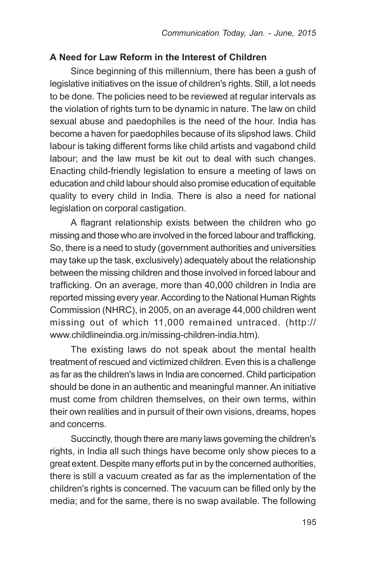## **A Need for Law Reform in the Interest of Children**

Since beginning of this millennium, there has been a gush of legislative initiatives on the issue of children's rights. Still, a lot needs to be done. The policies need to be reviewed at regular intervals as the violation of rights turn to be dynamic in nature. The law on child sexual abuse and paedophiles is the need of the hour. India has become a haven for paedophiles because of its slipshod laws. Child labour is taking different forms like child artists and vagabond child labour; and the law must be kit out to deal with such changes. Enacting child-friendly legislation to ensure a meeting of laws on education and child labour should also promise education of equitable quality to every child in India. There is also a need for national legislation on corporal castigation.

A flagrant relationship exists between the children who go missing and those who are involved in the forced labour and trafficking. So, there is a need to study (government authorities and universities may take up the task, exclusively) adequately about the relationship between the missing children and those involved in forced labour and trafficking. On an average, more than 40,000 children in India are reported missing every year. According to the National Human Rights Commission (NHRC), in 2005, on an average 44,000 children went missing out of which 11,000 remained untraced. (http:// www.childlineindia.org.in/missing-children-india.htm).

The existing laws do not speak about the mental health treatment of rescued and victimized children. Even this is a challenge as far as the children's laws in India are concerned. Child participation should be done in an authentic and meaningful manner. An initiative must come from children themselves, on their own terms, within their own realities and in pursuit of their own visions, dreams, hopes and concerns.

Succinctly, though there are many laws governing the children's rights, in India all such things have become only show pieces to a great extent. Despite many efforts put in by the concerned authorities, there is still a vacuum created as far as the implementation of the children's rights is concerned. The vacuum can be filled only by the media; and for the same, there is no swap available. The following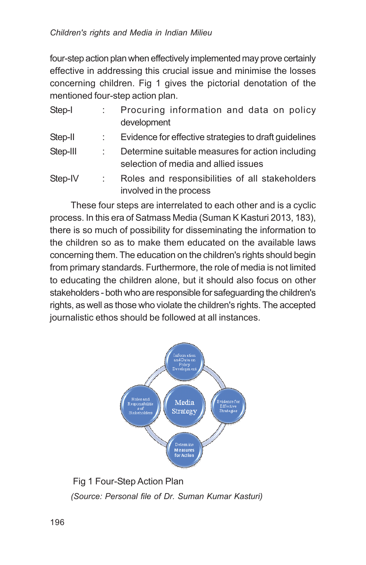four-step action plan when effectively implemented may prove certainly effective in addressing this crucial issue and minimise the losses concerning children. Fig 1 gives the pictorial denotation of the mentioned four-step action plan.

| Step-I   | Procuring information and data on policy                                                 |
|----------|------------------------------------------------------------------------------------------|
|          | development                                                                              |
| Step-II  | Evidence for effective strategies to draft guidelines                                    |
| Step-III | Determine suitable measures for action including<br>selection of media and allied issues |
| Step-IV  | Roles and responsibilities of all stakeholders<br>involved in the process                |

These four steps are interrelated to each other and is a cyclic process. In this era of Satmass Media (Suman K Kasturi 2013, 183), there is so much of possibility for disseminating the information to the children so as to make them educated on the available laws concerning them. The education on the children's rights should begin from primary standards. Furthermore, the role of media is not limited to educating the children alone, but it should also focus on other stakeholders - both who are responsible for safeguarding the children's rights, as well as those who violate the children's rights. The accepted journalistic ethos should be followed at all instances.



 Fig 1 Four-Step Action Plan *(Source: Personal file of Dr. Suman Kumar Kasturi)*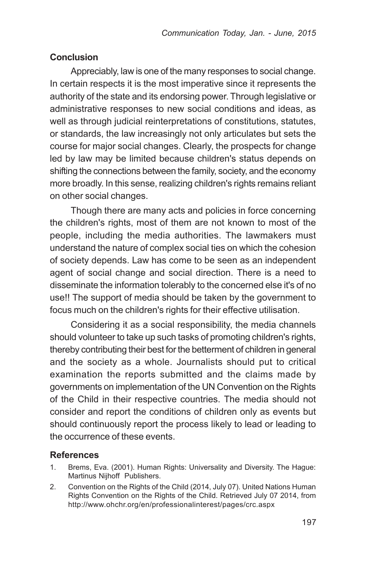## **Conclusion**

Appreciably, law is one of the many responses to social change. In certain respects it is the most imperative since it represents the authority of the state and its endorsing power. Through legislative or administrative responses to new social conditions and ideas, as well as through judicial reinterpretations of constitutions, statutes, or standards, the law increasingly not only articulates but sets the course for major social changes. Clearly, the prospects for change led by law may be limited because children's status depends on shifting the connections between the family, society, and the economy more broadly. In this sense, realizing children's rights remains reliant on other social changes.

Though there are many acts and policies in force concerning the children's rights, most of them are not known to most of the people, including the media authorities. The lawmakers must understand the nature of complex social ties on which the cohesion of society depends. Law has come to be seen as an independent agent of social change and social direction. There is a need to disseminate the information tolerably to the concerned else it's of no use!! The support of media should be taken by the government to focus much on the children's rights for their effective utilisation.

Considering it as a social responsibility, the media channels should volunteer to take up such tasks of promoting children's rights, thereby contributing their best for the betterment of children in general and the society as a whole. Journalists should put to critical examination the reports submitted and the claims made by governments on implementation of the UN Convention on the Rights of the Child in their respective countries. The media should not consider and report the conditions of children only as events but should continuously report the process likely to lead or leading to the occurrence of these events.

## **References**

- 1. Brems, Eva. (2001). Human Rights: Universality and Diversity. The Hague: Martinus Nijhoff Publishers.
- 2. Convention on the Rights of the Child (2014, July 07). United Nations Human Rights Convention on the Rights of the Child. Retrieved July 07 2014, from http://www.ohchr.org/en/professionalinterest/pages/crc.aspx